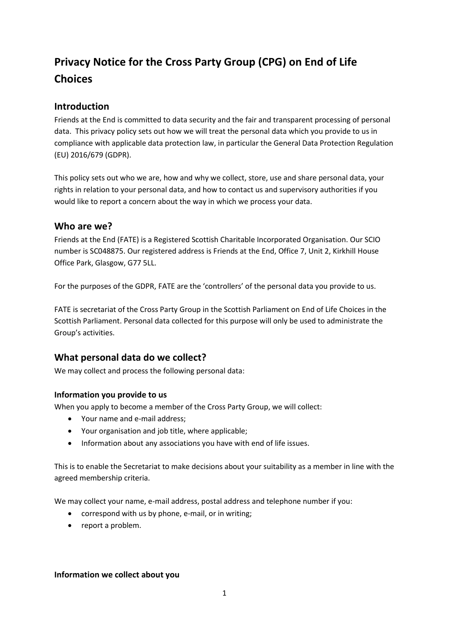# **Privacy Notice for the Cross Party Group (CPG) on End of Life Choices**

# **Introduction**

Friends at the End is committed to data security and the fair and transparent processing of personal data. This privacy policy sets out how we will treat the personal data which you provide to us in compliance with applicable data protection law, in particular the General Data Protection Regulation (EU) 2016/679 (GDPR).

This policy sets out who we are, how and why we collect, store, use and share personal data, your rights in relation to your personal data, and how to contact us and supervisory authorities if you would like to report a concern about the way in which we process your data.

## **Who are we?**

Friends at the End (FATE) is a Registered Scottish Charitable Incorporated Organisation. Our SCIO number is SC048875. Our registered address is Friends at the End, Office 7, Unit 2, Kirkhill House Office Park, Glasgow, G77 5LL.

For the purposes of the GDPR, FATE are the 'controllers' of the personal data you provide to us.

FATE is secretariat of the Cross Party Group in the Scottish Parliament on End of Life Choices in the Scottish Parliament. Personal data collected for this purpose will only be used to administrate the Group's activities.

# **What personal data do we collect?**

We may collect and process the following personal data:

## **Information you provide to us**

When you apply to become a member of the Cross Party Group, we will collect:

- Your name and e-mail address;
- Your organisation and job title, where applicable;
- Information about any associations you have with end of life issues.

This is to enable the Secretariat to make decisions about your suitability as a member in line with the agreed membership criteria.

We may collect your name, e-mail address, postal address and telephone number if you:

- correspond with us by phone, e-mail, or in writing;
- report a problem.

#### **Information we collect about you**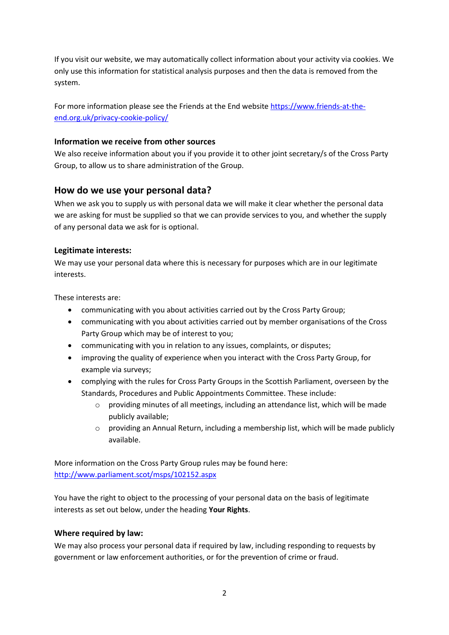If you visit our website, we may automatically collect information about your activity via cookies. We only use this information for statistical analysis purposes and then the data is removed from the system.

For more information please see the Friends at the End website [https://www.friends-at-the](https://www.friends-at-the-end.org.uk/privacy-cookie-policy/)[end.org.uk/privacy-cookie-policy/](https://www.friends-at-the-end.org.uk/privacy-cookie-policy/)

#### **Information we receive from other sources**

We also receive information about you if you provide it to other joint secretary/s of the Cross Party Group, to allow us to share administration of the Group.

# **How do we use your personal data?**

When we ask you to supply us with personal data we will make it clear whether the personal data we are asking for must be supplied so that we can provide services to you, and whether the supply of any personal data we ask for is optional.

## **Legitimate interests:**

We may use your personal data where this is necessary for purposes which are in our legitimate interests.

These interests are:

- communicating with you about activities carried out by the Cross Party Group;
- communicating with you about activities carried out by member organisations of the Cross Party Group which may be of interest to you;
- communicating with you in relation to any issues, complaints, or disputes;
- improving the quality of experience when you interact with the Cross Party Group, for example via surveys;
- complying with the rules for Cross Party Groups in the Scottish Parliament, overseen by the Standards, Procedures and Public Appointments Committee. These include:
	- o providing minutes of all meetings, including an attendance list, which will be made publicly available;
	- $\circ$  providing an Annual Return, including a membership list, which will be made publicly available.

More information on the Cross Party Group rules may be found here: <http://www.parliament.scot/msps/102152.aspx>

You have the right to object to the processing of your personal data on the basis of legitimate interests as set out below, under the heading **Your Rights**.

## **Where required by law:**

We may also process your personal data if required by law, including responding to requests by government or law enforcement authorities, or for the prevention of crime or fraud.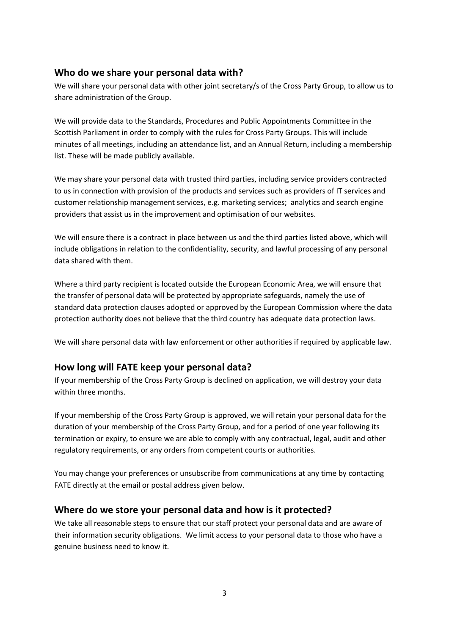## **Who do we share your personal data with?**

We will share your personal data with other joint secretary/s of the Cross Party Group, to allow us to share administration of the Group.

We will provide data to the Standards, Procedures and Public Appointments Committee in the Scottish Parliament in order to comply with the rules for Cross Party Groups. This will include minutes of all meetings, including an attendance list, and an Annual Return, including a membership list. These will be made publicly available.

We may share your personal data with trusted third parties, including service providers contracted to us in connection with provision of the products and services such as providers of IT services and customer relationship management services, e.g. marketing services; analytics and search engine providers that assist us in the improvement and optimisation of our websites.

We will ensure there is a contract in place between us and the third parties listed above, which will include obligations in relation to the confidentiality, security, and lawful processing of any personal data shared with them.

Where a third party recipient is located outside the European Economic Area, we will ensure that the transfer of personal data will be protected by appropriate safeguards, namely the use of standard data protection clauses adopted or approved by the European Commission where the data protection authority does not believe that the third country has adequate data protection laws.

We will share personal data with law enforcement or other authorities if required by applicable law.

# **How long will FATE keep your personal data?**

If your membership of the Cross Party Group is declined on application, we will destroy your data within three months.

If your membership of the Cross Party Group is approved, we will retain your personal data for the duration of your membership of the Cross Party Group, and for a period of one year following its termination or expiry, to ensure we are able to comply with any contractual, legal, audit and other regulatory requirements, or any orders from competent courts or authorities.

You may change your preferences or unsubscribe from communications at any time by contacting FATE directly at the email or postal address given below.

## **Where do we store your personal data and how is it protected?**

We take all reasonable steps to ensure that our staff protect your personal data and are aware of their information security obligations. We limit access to your personal data to those who have a genuine business need to know it.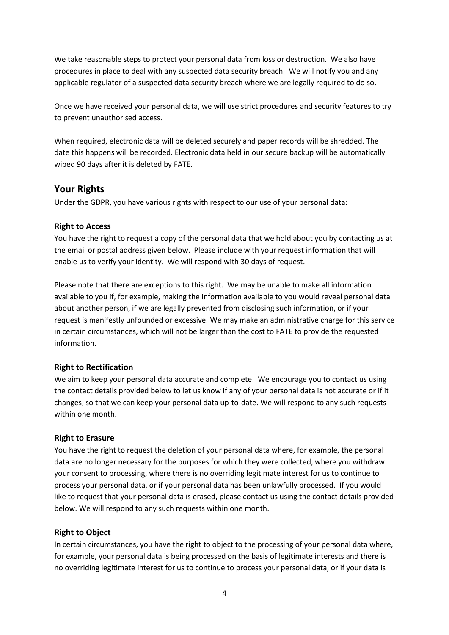We take reasonable steps to protect your personal data from loss or destruction. We also have procedures in place to deal with any suspected data security breach. We will notify you and any applicable regulator of a suspected data security breach where we are legally required to do so.

Once we have received your personal data, we will use strict procedures and security features to try to prevent unauthorised access.

When required, electronic data will be deleted securely and paper records will be shredded. The date this happens will be recorded. Electronic data held in our secure backup will be automatically wiped 90 days after it is deleted by FATE.

## **Your Rights**

Under the GDPR, you have various rights with respect to our use of your personal data:

#### **Right to Access**

You have the right to request a copy of the personal data that we hold about you by contacting us at the email or postal address given below. Please include with your request information that will enable us to verify your identity. We will respond with 30 days of request.

Please note that there are exceptions to this right. We may be unable to make all information available to you if, for example, making the information available to you would reveal personal data about another person, if we are legally prevented from disclosing such information, or if your request is manifestly unfounded or excessive. We may make an administrative charge for this service in certain circumstances, which will not be larger than the cost to FATE to provide the requested information.

#### **Right to Rectification**

We aim to keep your personal data accurate and complete. We encourage you to contact us using the contact details provided below to let us know if any of your personal data is not accurate or if it changes, so that we can keep your personal data up-to-date. We will respond to any such requests within one month.

#### **Right to Erasure**

You have the right to request the deletion of your personal data where, for example, the personal data are no longer necessary for the purposes for which they were collected, where you withdraw your consent to processing, where there is no overriding legitimate interest for us to continue to process your personal data, or if your personal data has been unlawfully processed. If you would like to request that your personal data is erased, please contact us using the contact details provided below. We will respond to any such requests within one month.

#### **Right to Object**

In certain circumstances, you have the right to object to the processing of your personal data where, for example, your personal data is being processed on the basis of legitimate interests and there is no overriding legitimate interest for us to continue to process your personal data, or if your data is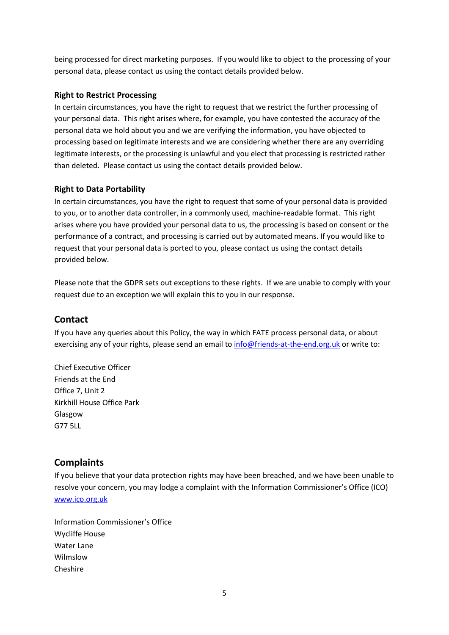being processed for direct marketing purposes. If you would like to object to the processing of your personal data, please contact us using the contact details provided below.

## **Right to Restrict Processing**

In certain circumstances, you have the right to request that we restrict the further processing of your personal data. This right arises where, for example, you have contested the accuracy of the personal data we hold about you and we are verifying the information, you have objected to processing based on legitimate interests and we are considering whether there are any overriding legitimate interests, or the processing is unlawful and you elect that processing is restricted rather than deleted. Please contact us using the contact details provided below.

## **Right to Data Portability**

In certain circumstances, you have the right to request that some of your personal data is provided to you, or to another data controller, in a commonly used, machine-readable format. This right arises where you have provided your personal data to us, the processing is based on consent or the performance of a contract, and processing is carried out by automated means. If you would like to request that your personal data is ported to you, please contact us using the contact details provided below.

Please note that the GDPR sets out exceptions to these rights. If we are unable to comply with your request due to an exception we will explain this to you in our response.

# **Contact**

If you have any queries about this Policy, the way in which FATE process personal data, or about exercising any of your rights, please send an email to [info@friends-at-the-end.org.uk](mailto:info@friends-at-the-end.org.uk) or write to:

Chief Executive Officer Friends at the End Office 7, Unit 2 Kirkhill House Office Park Glasgow G77 5LL

# **Complaints**

If you believe that your data protection rights may have been breached, and we have been unable to resolve your concern, you may lodge a complaint with the Information Commissioner's Office (ICO) [www.ico.org.uk](http://www.ico.org.uk/)

Information Commissioner's Office Wycliffe House Water Lane Wilmslow Cheshire